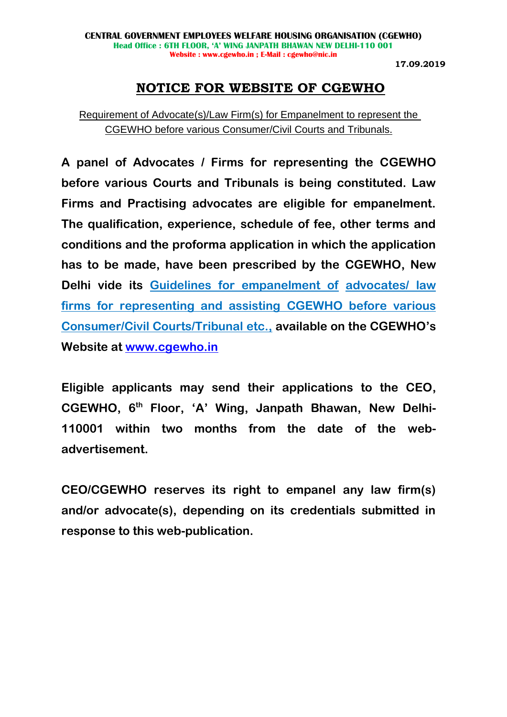# **NOTICE FOR WEBSITE OF CGEWHO**

Requirement of Advocate(s)/Law Firm(s) for Empanelment to represent the CGEWHO before various Consumer/Civil Courts and Tribunals.

**A panel of Advocates / Firms for representing the CGEWHO before various Courts and Tribunals is being constituted. Law Firms and Practising advocates are eligible for empanelment. The qualification, experience, schedule of fee, other terms and conditions and the proforma application in which the application has to be made, have been prescribed by the CGEWHO, New Delhi vide its Guidelines for empanelment of advocates/ law firms for representing and assisting CGEWHO before various Consumer/Civil Courts/Tribunal etc., available on the CGEWHO's Website at [www.cgewho.in](http://www.cgewho.in/)**

**Eligible applicants may send their applications to the CEO, CGEWHO, 6 th Floor, 'A' Wing, Janpath Bhawan, New Delhi-110001 within two months from the date of the webadvertisement.**

**CEO/CGEWHO reserves its right to empanel any law firm(s) and/or advocate(s), depending on its credentials submitted in response to this web-publication.**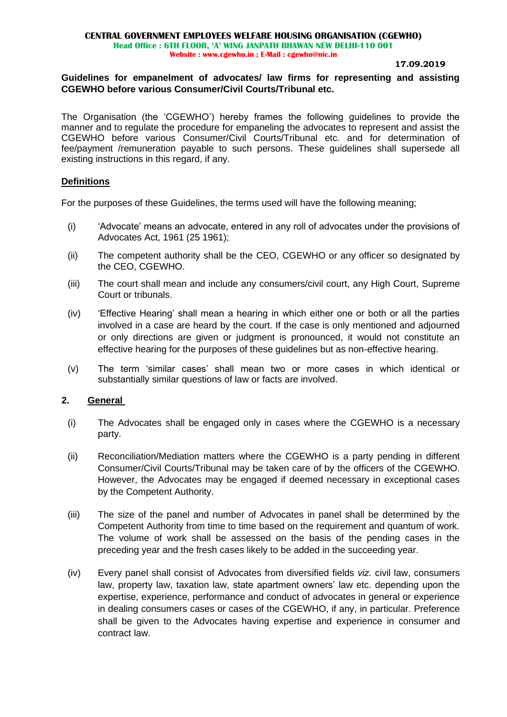# **Guidelines for empanelment of advocates/ law firms for representing and assisting CGEWHO before various Consumer/Civil Courts/Tribunal etc.**

The Organisation (the 'CGEWHO') hereby frames the following guidelines to provide the manner and to regulate the procedure for empaneling the advocates to represent and assist the CGEWHO before various Consumer/Civil Courts/Tribunal etc. and for determination of fee/payment /remuneration payable to such persons. These guidelines shall supersede all existing instructions in this regard, if any.

# **Definitions**

For the purposes of these Guidelines, the terms used will have the following meaning;

- (i) 'Advocate' means an advocate, entered in any roll of advocates under the provisions of Advocates Act, 1961 (25 1961);
- (ii) The competent authority shall be the CEO, CGEWHO or any officer so designated by the CEO, CGEWHO.
- (iii) The court shall mean and include any consumers/civil court, any High Court, Supreme Court or tribunals.
- (iv) 'Effective Hearing' shall mean a hearing in which either one or both or all the parties involved in a case are heard by the court. If the case is only mentioned and adjourned or only directions are given or judgment is pronounced, it would not constitute an effective hearing for the purposes of these guidelines but as non-effective hearing.
- (v) The term 'similar cases' shall mean two or more cases in which identical or substantially similar questions of law or facts are involved.

### **2. General**

- (i) The Advocates shall be engaged only in cases where the CGEWHO is a necessary party.
- (ii) Reconciliation/Mediation matters where the CGEWHO is a party pending in different Consumer/Civil Courts/Tribunal may be taken care of by the officers of the CGEWHO. However, the Advocates may be engaged if deemed necessary in exceptional cases by the Competent Authority.
- (iii) The size of the panel and number of Advocates in panel shall be determined by the Competent Authority from time to time based on the requirement and quantum of work. The volume of work shall be assessed on the basis of the pending cases in the preceding year and the fresh cases likely to be added in the succeeding year.
- (iv) Every panel shall consist of Advocates from diversified fields *viz.* civil law, consumers law, property law, taxation law, state apartment owners' law etc. depending upon the expertise, experience, performance and conduct of advocates in general or experience in dealing consumers cases or cases of the CGEWHO, if any, in particular. Preference shall be given to the Advocates having expertise and experience in consumer and contract law.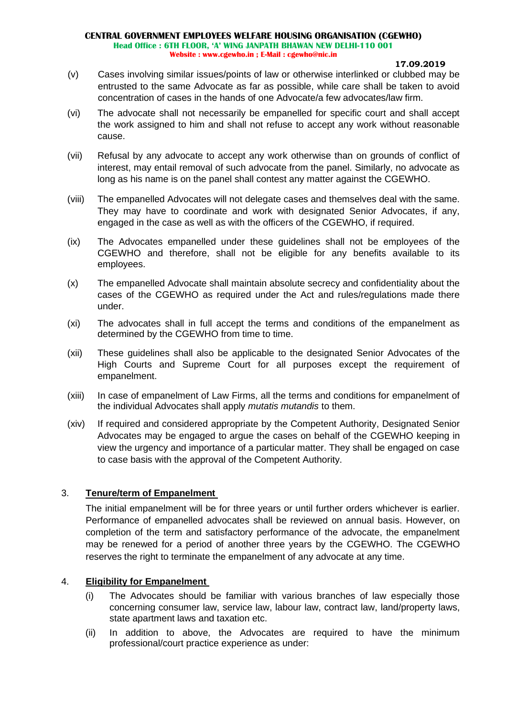#### **17.09.2019**

- (v) Cases involving similar issues/points of law or otherwise interlinked or clubbed may be entrusted to the same Advocate as far as possible, while care shall be taken to avoid concentration of cases in the hands of one Advocate/a few advocates/law firm.
- (vi) The advocate shall not necessarily be empanelled for specific court and shall accept the work assigned to him and shall not refuse to accept any work without reasonable cause.
- (vii) Refusal by any advocate to accept any work otherwise than on grounds of conflict of interest, may entail removal of such advocate from the panel. Similarly, no advocate as long as his name is on the panel shall contest any matter against the CGEWHO.
- (viii) The empanelled Advocates will not delegate cases and themselves deal with the same. They may have to coordinate and work with designated Senior Advocates, if any, engaged in the case as well as with the officers of the CGEWHO, if required.
- (ix) The Advocates empanelled under these guidelines shall not be employees of the CGEWHO and therefore, shall not be eligible for any benefits available to its employees.
- (x) The empanelled Advocate shall maintain absolute secrecy and confidentiality about the cases of the CGEWHO as required under the Act and rules/regulations made there under.
- (xi) The advocates shall in full accept the terms and conditions of the empanelment as determined by the CGEWHO from time to time.
- (xii) These guidelines shall also be applicable to the designated Senior Advocates of the High Courts and Supreme Court for all purposes except the requirement of empanelment.
- (xiii) In case of empanelment of Law Firms, all the terms and conditions for empanelment of the individual Advocates shall apply *mutatis mutandis* to them.
- (xiv) If required and considered appropriate by the Competent Authority, Designated Senior Advocates may be engaged to argue the cases on behalf of the CGEWHO keeping in view the urgency and importance of a particular matter. They shall be engaged on case to case basis with the approval of the Competent Authority.

# 3. **Tenure/term of Empanelment**

The initial empanelment will be for three years or until further orders whichever is earlier. Performance of empanelled advocates shall be reviewed on annual basis. However, on completion of the term and satisfactory performance of the advocate, the empanelment may be renewed for a period of another three years by the CGEWHO. The CGEWHO reserves the right to terminate the empanelment of any advocate at any time.

# 4. **Eligibility for Empanelment**

- (i) The Advocates should be familiar with various branches of law especially those concerning consumer law, service law, labour law, contract law, land/property laws, state apartment laws and taxation etc.
- (ii) In addition to above, the Advocates are required to have the minimum professional/court practice experience as under: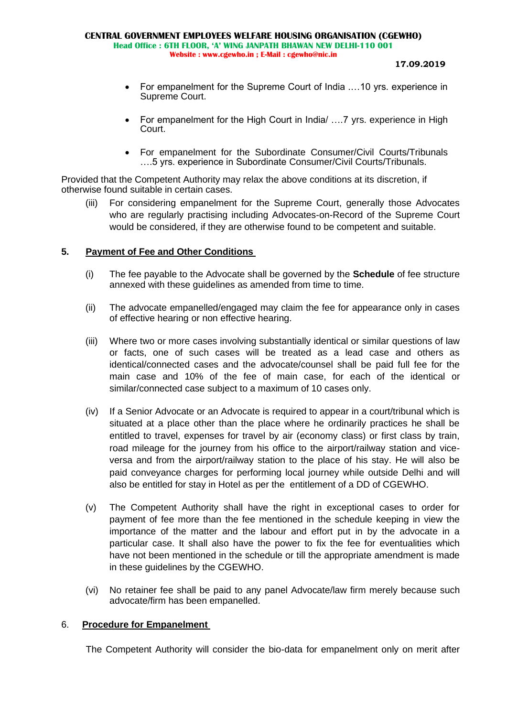- For empanelment for the Supreme Court of India .…10 yrs. experience in Supreme Court.
- For empanelment for the High Court in India/ .... 7 yrs. experience in High Court.
- For empanelment for the Subordinate Consumer/Civil Courts/Tribunals ….5 yrs. experience in Subordinate Consumer/Civil Courts/Tribunals.

Provided that the Competent Authority may relax the above conditions at its discretion, if otherwise found suitable in certain cases.

(iii) For considering empanelment for the Supreme Court, generally those Advocates who are regularly practising including Advocates-on-Record of the Supreme Court would be considered, if they are otherwise found to be competent and suitable.

# **5. Payment of Fee and Other Conditions**

- (i) The fee payable to the Advocate shall be governed by the **Schedule** of fee structure annexed with these guidelines as amended from time to time.
- (ii) The advocate empanelled/engaged may claim the fee for appearance only in cases of effective hearing or non effective hearing.
- (iii) Where two or more cases involving substantially identical or similar questions of law or facts, one of such cases will be treated as a lead case and others as identical/connected cases and the advocate/counsel shall be paid full fee for the main case and 10% of the fee of main case, for each of the identical or similar/connected case subject to a maximum of 10 cases only.
- (iv) If a Senior Advocate or an Advocate is required to appear in a court/tribunal which is situated at a place other than the place where he ordinarily practices he shall be entitled to travel, expenses for travel by air (economy class) or first class by train, road mileage for the journey from his office to the airport/railway station and viceversa and from the airport/railway station to the place of his stay. He will also be paid conveyance charges for performing local journey while outside Delhi and will also be entitled for stay in Hotel as per the entitlement of a DD of CGEWHO.
- (v) The Competent Authority shall have the right in exceptional cases to order for payment of fee more than the fee mentioned in the schedule keeping in view the importance of the matter and the labour and effort put in by the advocate in a particular case. It shall also have the power to fix the fee for eventualities which have not been mentioned in the schedule or till the appropriate amendment is made in these guidelines by the CGEWHO.
- (vi) No retainer fee shall be paid to any panel Advocate/law firm merely because such advocate/firm has been empanelled.

### 6. **Procedure for Empanelment**

The Competent Authority will consider the bio-data for empanelment only on merit after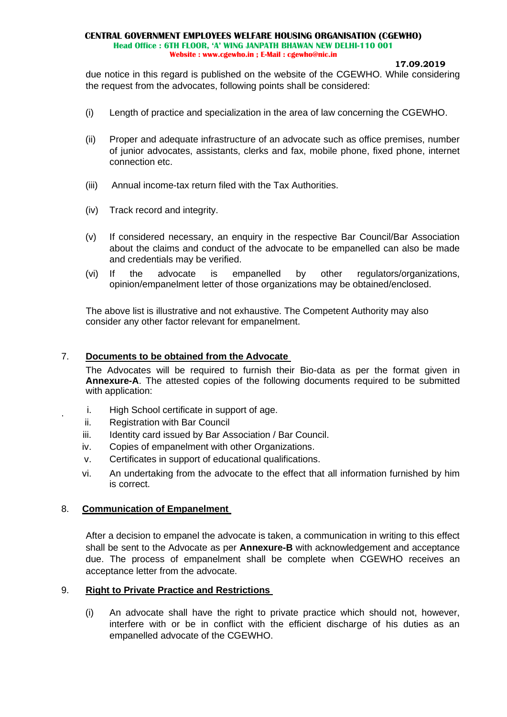due notice in this regard is published on the website of the CGEWHO. While considering the request from the advocates, following points shall be considered:

- (i) Length of practice and specialization in the area of law concerning the CGEWHO.
- (ii) Proper and adequate infrastructure of an advocate such as office premises, number of junior advocates, assistants, clerks and fax, mobile phone, fixed phone, internet connection etc.
- (iii) Annual income-tax return filed with the Tax Authorities.
- (iv) Track record and integrity.
- (v) If considered necessary, an enquiry in the respective Bar Council/Bar Association about the claims and conduct of the advocate to be empanelled can also be made and credentials may be verified.
- (vi) If the advocate is empanelled by other regulators/organizations, opinion/empanelment letter of those organizations may be obtained/enclosed.

The above list is illustrative and not exhaustive. The Competent Authority may also consider any other factor relevant for empanelment.

### 7. **Documents to be obtained from the Advocate**

The Advocates will be required to furnish their Bio-data as per the format given in **Annexure-A**. The attested copies of the following documents required to be submitted with application:

- i. High School certificate in support of age.
- ii. Registration with Bar Council

.

- iii. Identity card issued by Bar Association / Bar Council.
- iv. Copies of empanelment with other Organizations.
- v. Certificates in support of educational qualifications.
- vi. An undertaking from the advocate to the effect that all information furnished by him is correct.

# 8. **Communication of Empanelment**

After a decision to empanel the advocate is taken, a communication in writing to this effect shall be sent to the Advocate as per **Annexure-B** with acknowledgement and acceptance due. The process of empanelment shall be complete when CGEWHO receives an acceptance letter from the advocate.

### 9. **Right to Private Practice and Restrictions**

(i) An advocate shall have the right to private practice which should not, however, interfere with or be in conflict with the efficient discharge of his duties as an empanelled advocate of the CGEWHO.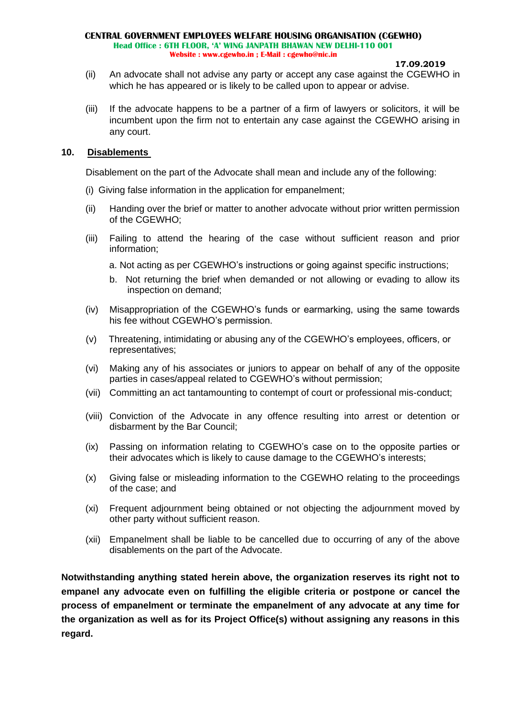#### **17.09.2019**

- (ii) An advocate shall not advise any party or accept any case against the CGEWHO in which he has appeared or is likely to be called upon to appear or advise.
- (iii) If the advocate happens to be a partner of a firm of lawyers or solicitors, it will be incumbent upon the firm not to entertain any case against the CGEWHO arising in any court.

### **10. Disablements**

Disablement on the part of the Advocate shall mean and include any of the following:

- (i) Giving false information in the application for empanelment;
- (ii) Handing over the brief or matter to another advocate without prior written permission of the CGEWHO;
- (iii) Failing to attend the hearing of the case without sufficient reason and prior information;
	- a. Not acting as per CGEWHO's instructions or going against specific instructions;
	- b. Not returning the brief when demanded or not allowing or evading to allow its inspection on demand;
- (iv) Misappropriation of the CGEWHO's funds or earmarking, using the same towards his fee without CGEWHO's permission.
- (v) Threatening, intimidating or abusing any of the CGEWHO's employees, officers, or representatives;
- (vi) Making any of his associates or juniors to appear on behalf of any of the opposite parties in cases/appeal related to CGEWHO's without permission;
- (vii) Committing an act tantamounting to contempt of court or professional mis-conduct;
- (viii) Conviction of the Advocate in any offence resulting into arrest or detention or disbarment by the Bar Council;
- (ix) Passing on information relating to CGEWHO's case on to the opposite parties or their advocates which is likely to cause damage to the CGEWHO's interests;
- (x) Giving false or misleading information to the CGEWHO relating to the proceedings of the case; and
- (xi) Frequent adjournment being obtained or not objecting the adjournment moved by other party without sufficient reason.
- (xii) Empanelment shall be liable to be cancelled due to occurring of any of the above disablements on the part of the Advocate.

**Notwithstanding anything stated herein above, the organization reserves its right not to empanel any advocate even on fulfilling the eligible criteria or postpone or cancel the process of empanelment or terminate the empanelment of any advocate at any time for the organization as well as for its Project Office(s) without assigning any reasons in this regard.**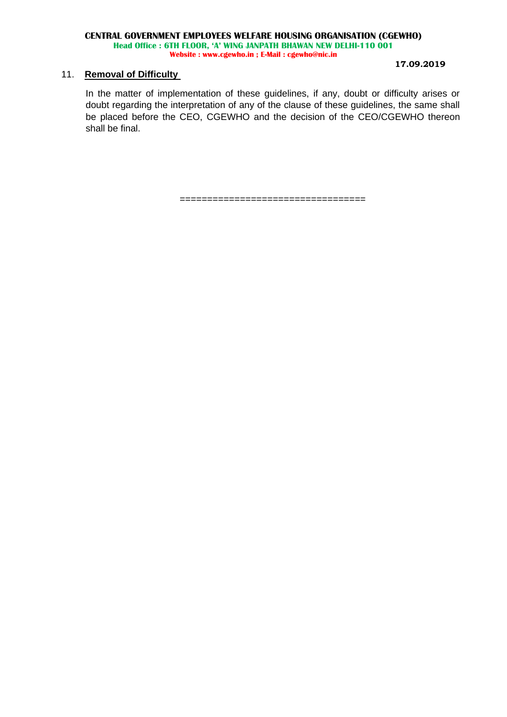#### **17.09.2019**

### 11. **Removal of Difficulty**

In the matter of implementation of these guidelines, if any, doubt or difficulty arises or doubt regarding the interpretation of any of the clause of these guidelines, the same shall be placed before the CEO, CGEWHO and the decision of the CEO/CGEWHO thereon shall be final.

==================================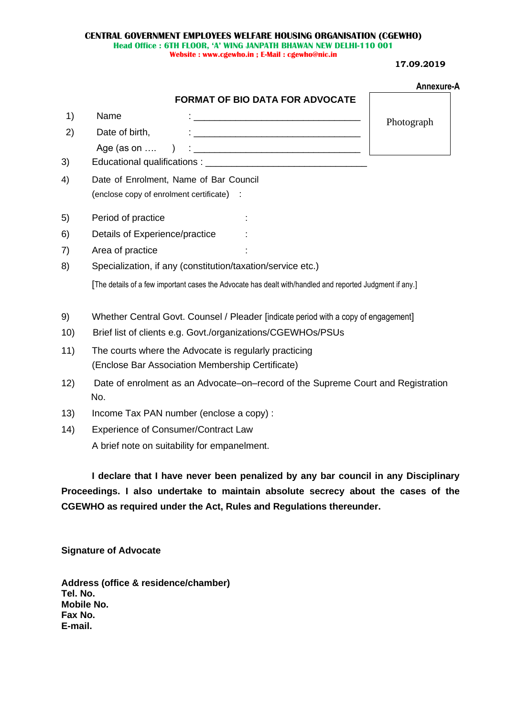**17.09.2019**

|      |                                                                                                          | Annexure-A |  |  |
|------|----------------------------------------------------------------------------------------------------------|------------|--|--|
|      | <b>FORMAT OF BIO DATA FOR ADVOCATE</b>                                                                   |            |  |  |
| 1)   | Name                                                                                                     | Photograph |  |  |
| 2)   | <u> 2000 - Jan Jan James, margaret eta biztanleria (h. 1878).</u><br>Date of birth,                      |            |  |  |
|      | Age (as on $\dots$                                                                                       |            |  |  |
| 3)   |                                                                                                          |            |  |  |
| 4)   | Date of Enrolment, Name of Bar Council                                                                   |            |  |  |
|      | (enclose copy of enrolment certificate) :                                                                |            |  |  |
| 5)   | Period of practice                                                                                       |            |  |  |
| 6)   | Details of Experience/practice                                                                           |            |  |  |
| 7)   | Area of practice                                                                                         |            |  |  |
| 8)   | Specialization, if any (constitution/taxation/service etc.)                                              |            |  |  |
|      | [The details of a few important cases the Advocate has dealt with/handled and reported Judgment if any.] |            |  |  |
| 9)   | Whether Central Govt. Counsel / Pleader [indicate period with a copy of engagement]                      |            |  |  |
| 10)  | Brief list of clients e.g. Govt./organizations/CGEWHOs/PSUs                                              |            |  |  |
| 11)  | The courts where the Advocate is regularly practicing                                                    |            |  |  |
|      | (Enclose Bar Association Membership Certificate)                                                         |            |  |  |
| 12)  | Date of enrolment as an Advocate–on–record of the Supreme Court and Registration<br>No.                  |            |  |  |
| 13)  | Income Tax PAN number (enclose a copy):                                                                  |            |  |  |
| (14) | <b>Experience of Consumer/Contract Law</b>                                                               |            |  |  |
|      |                                                                                                          |            |  |  |

A brief note on suitability for empanelment.

**I declare that I have never been penalized by any bar council in any Disciplinary Proceedings. I also undertake to maintain absolute secrecy about the cases of the CGEWHO as required under the Act, Rules and Regulations thereunder.**

**Signature of Advocate**

**Address (office & residence/chamber) Tel. No. Mobile No. Fax No. E-mail.**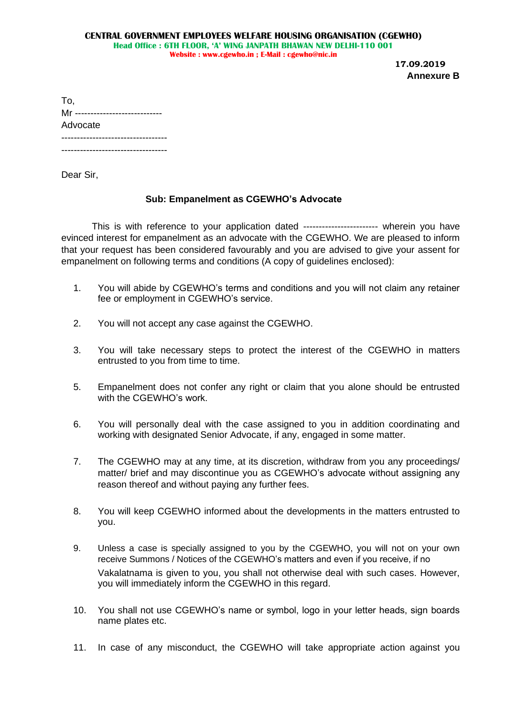**17.09.2019 Annexure B**

| To,                    |
|------------------------|
| Mr ------------------- |
| Advocate               |
|                        |
|                        |

Dear Sir,

# **Sub: Empanelment as CGEWHO's Advocate**

This is with reference to your application dated ------------------------ wherein you have evinced interest for empanelment as an advocate with the CGEWHO. We are pleased to inform that your request has been considered favourably and you are advised to give your assent for empanelment on following terms and conditions (A copy of guidelines enclosed):

- 1. You will abide by CGEWHO's terms and conditions and you will not claim any retainer fee or employment in CGEWHO's service.
- 2. You will not accept any case against the CGEWHO.
- 3. You will take necessary steps to protect the interest of the CGEWHO in matters entrusted to you from time to time.
- 5. Empanelment does not confer any right or claim that you alone should be entrusted with the CGFWHO's work
- 6. You will personally deal with the case assigned to you in addition coordinating and working with designated Senior Advocate, if any, engaged in some matter.
- 7. The CGEWHO may at any time, at its discretion, withdraw from you any proceedings/ matter/ brief and may discontinue you as CGEWHO's advocate without assigning any reason thereof and without paying any further fees.
- 8. You will keep CGEWHO informed about the developments in the matters entrusted to you.
- 9. Unless a case is specially assigned to you by the CGEWHO, you will not on your own receive Summons / Notices of the CGEWHO's matters and even if you receive, if no Vakalatnama is given to you, you shall not otherwise deal with such cases. However, you will immediately inform the CGEWHO in this regard.
- 10. You shall not use CGEWHO's name or symbol, logo in your letter heads, sign boards name plates etc.
- 11. In case of any misconduct, the CGEWHO will take appropriate action against you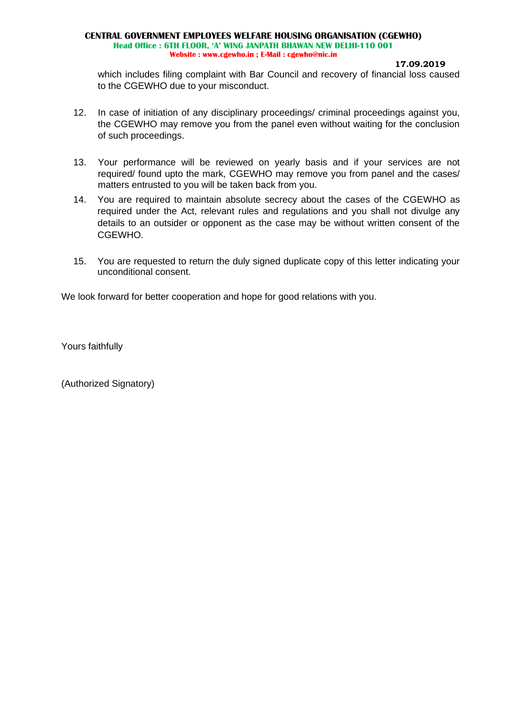**17.09.2019**

which includes filing complaint with Bar Council and recovery of financial loss caused to the CGEWHO due to your misconduct.

- 12. In case of initiation of any disciplinary proceedings/ criminal proceedings against you, the CGEWHO may remove you from the panel even without waiting for the conclusion of such proceedings.
- 13. Your performance will be reviewed on yearly basis and if your services are not required/ found upto the mark, CGEWHO may remove you from panel and the cases/ matters entrusted to you will be taken back from you.
- 14. You are required to maintain absolute secrecy about the cases of the CGEWHO as required under the Act, relevant rules and regulations and you shall not divulge any details to an outsider or opponent as the case may be without written consent of the CGEWHO.
- 15. You are requested to return the duly signed duplicate copy of this letter indicating your unconditional consent.

We look forward for better cooperation and hope for good relations with you.

Yours faithfully

(Authorized Signatory)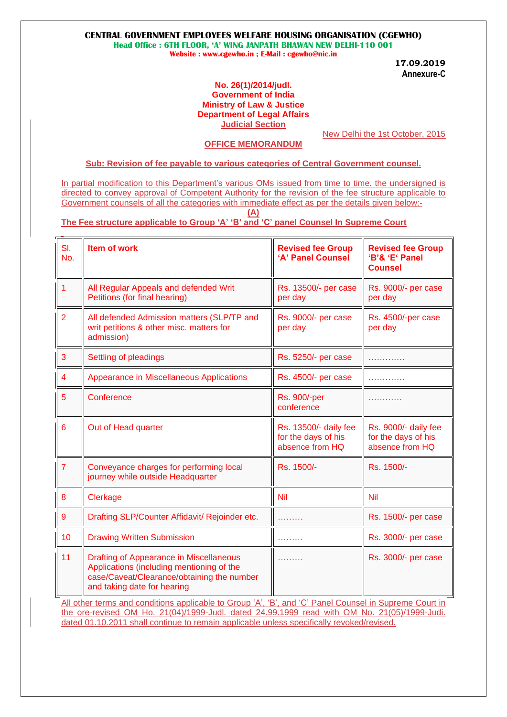### **CENTRAL GOVERNMENT EMPLOYEES WELFARE HOUSING ORGANISATION (CGEWHO)**

**Head Office : 6TH FLOOR, 'A' WING JANPATH BHAWAN NEW DELHI-110 001 Website : www.cgewho.in ; E-Mail : cgewho@nic.in**

**17.09.2019 Annexure-C**

### **No. 26(1)/2014/judl. Government of India Ministry of Law & Justice Department of Legal Affairs Judicial Section**

### **OFFICE MEMORANDUM**

New Delhi the 1st October, 2015

# **Sub: Revision of fee payable to various categories of Central Government counsel.**

In partial modification to this Department's various OMs issued from time to time. the undersigned is directed to convey approval of Competent Authority for the revision of the fee structure applicable to Government counsels of all the categories with immediate effect as per the details given below:-

**(A)**

### **The Fee structure applicable to Group 'A' 'B' and 'C' panel Counsel In Supreme Court**

| SI.<br>No.      | <b>Item of work</b>                                                                                                                                                      | <b>Revised fee Group</b><br>'A' Panel Counsel                   | <b>Revised fee Group</b><br>'B'& 'E' Panel<br><b>Counsel</b>   |
|-----------------|--------------------------------------------------------------------------------------------------------------------------------------------------------------------------|-----------------------------------------------------------------|----------------------------------------------------------------|
| 1               | All Regular Appeals and defended Writ<br>Petitions (for final hearing)                                                                                                   | Rs. 13500/- per case<br>per day                                 | Rs. 9000/- per case<br>per day                                 |
| $\overline{2}$  | All defended Admission matters (SLP/TP and<br>writ petitions & other misc. matters for<br>admission)                                                                     | Rs. 9000/- per case<br>per day                                  | Rs. 4500/-per case<br>per day                                  |
| 3               | Settling of pleadings                                                                                                                                                    | Rs. 5250/- per case                                             |                                                                |
| $\overline{4}$  | Appearance in Miscellaneous Applications                                                                                                                                 | Rs. 4500/- per case                                             |                                                                |
| 5               | Conference                                                                                                                                                               | <b>Rs. 900/-per</b><br>conference                               | .                                                              |
| $6\phantom{1}6$ | Out of Head quarter                                                                                                                                                      | Rs. 13500/- daily fee<br>for the days of his<br>absence from HQ | Rs. 9000/- daily fee<br>for the days of his<br>absence from HQ |
| $\overline{7}$  | Conveyance charges for performing local<br>journey while outside Headquarter                                                                                             | Rs. 1500/-                                                      | Rs. 1500/-                                                     |
| 8               | Clerkage                                                                                                                                                                 | <b>Nil</b>                                                      | Nil                                                            |
| 9               | Drafting SLP/Counter Affidavit/ Rejoinder etc.                                                                                                                           | .                                                               | Rs. 1500/- per case                                            |
| 10              | <b>Drawing Written Submission</b>                                                                                                                                        |                                                                 | Rs. 3000/- per case                                            |
| 11              | <b>Drafting of Appearance in Miscellaneous</b><br>Applications (including mentioning of the<br>case/Caveat/Clearance/obtaining the number<br>and taking date for hearing | .                                                               | Rs. 3000/- per case                                            |

All other terms and conditions applicable to Group 'A', 'B', and 'C' Panel Counsel in Supreme Court in the ore-revised OM Ho. 21(04)/1999-Judl. dated 24.99.1999 read with OM No. 21(05)/1999-Judi. dated 01.10.2011 shall continue to remain applicable unless specifically revoked/revised.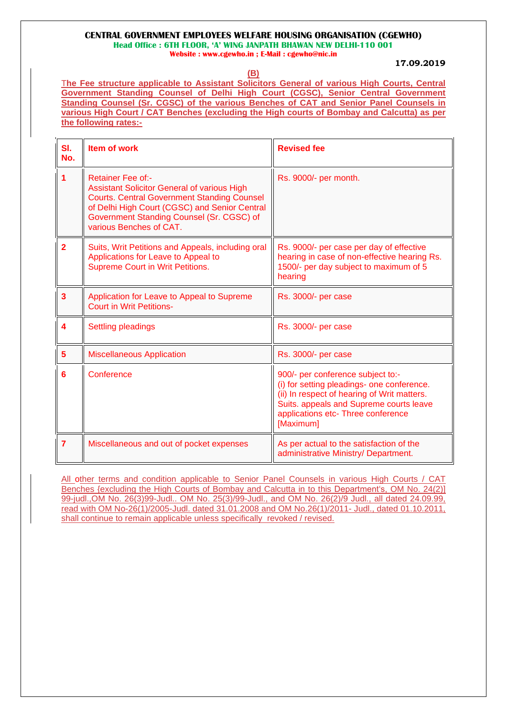### **CENTRAL GOVERNMENT EMPLOYEES WELFARE HOUSING ORGANISATION (CGEWHO)**

**Head Office : 6TH FLOOR, 'A' WING JANPATH BHAWAN NEW DELHI-110 001**

**Website : www.cgewho.in ; E-Mail : cgewho@nic.in**

**17.09.2019**

**(B)**

T**he Fee structure applicable to Assistant Solicitors General of various High Courts, Central Government Standing Counsel of Delhi High Court (CGSC), Senior Central Government Standing Counsel (Sr. CGSC) of the various Benches of CAT and Senior Panel Counsels in various High Court / CAT Benches (excluding the High courts of Bombay and Calcutta) as per the following rates:-**

| SI.<br>No.     | Item of work                                                                                                                                                                                                                                                  | <b>Revised fee</b>                                                                                                                                                                                                           |
|----------------|---------------------------------------------------------------------------------------------------------------------------------------------------------------------------------------------------------------------------------------------------------------|------------------------------------------------------------------------------------------------------------------------------------------------------------------------------------------------------------------------------|
|                | <b>Retainer Fee of:-</b><br><b>Assistant Solicitor General of various High</b><br><b>Courts. Central Government Standing Counsel</b><br>of Delhi High Court (CGSC) and Senior Central<br>Government Standing Counsel (Sr. CGSC) of<br>various Benches of CAT. | Rs. 9000/- per month.                                                                                                                                                                                                        |
| $\overline{2}$ | Suits, Writ Petitions and Appeals, including oral<br>Applications for Leave to Appeal to<br><b>Supreme Court in Writ Petitions.</b>                                                                                                                           | Rs. 9000/- per case per day of effective<br>hearing in case of non-effective hearing Rs.<br>1500/- per day subject to maximum of 5<br>hearing                                                                                |
| 3              | Application for Leave to Appeal to Supreme<br><b>Court in Writ Petitions-</b>                                                                                                                                                                                 | Rs. 3000/- per case                                                                                                                                                                                                          |
|                | <b>Settling pleadings</b>                                                                                                                                                                                                                                     | Rs. 3000/- per case                                                                                                                                                                                                          |
| 5              | <b>Miscellaneous Application</b>                                                                                                                                                                                                                              | Rs. 3000/- per case                                                                                                                                                                                                          |
| 6              | Conference                                                                                                                                                                                                                                                    | 900/- per conference subject to:-<br>(i) for setting pleadings- one conference.<br>(ii) In respect of hearing of Writ matters.<br>Suits. appeals and Supreme courts leave<br>applications etc- Three conference<br>[Maximum] |
| $\overline{7}$ | Miscellaneous and out of pocket expenses                                                                                                                                                                                                                      | As per actual to the satisfaction of the<br>administrative Ministry/ Department.                                                                                                                                             |

All other terms and condition applicable to Senior Panel Counsels in various High Courts / CAT Benches {excluding the High Courts of Bombay and Calcutta in to this Department's, OM No. 24(2)] 99-judl.,OM No. 26(3)99-Judl.. OM No. 25(3)/99-Judl., and OM No. 26(2)/9 Judl., all dated 24.09.99, read with OM No-26(1)/2005-Judl. dated 31.01.2008 and OM No.26(1)/2011- Judl., dated 01.10.2011, shall continue to remain applicable unless specifically revoked / revised.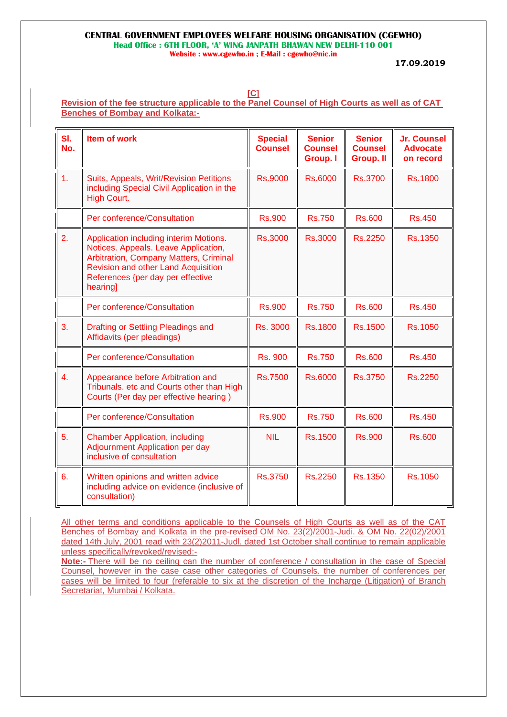**[C]**

# **Revision of the fee structure applicable to the Panel Counsel of High Courts as well as of CAT Benches of Bombay and Kolkata:-**

| SI.<br>No. | <b>Item of work</b>                                                                                                                                                                                                     | <b>Special</b><br><b>Counsel</b> | <b>Senior</b><br><b>Counsel</b><br><b>Group. I</b> | <b>Senior</b><br><b>Counsel</b><br><b>Group. II</b> | <b>Jr. Counsel</b><br><b>Advocate</b><br>on record |
|------------|-------------------------------------------------------------------------------------------------------------------------------------------------------------------------------------------------------------------------|----------------------------------|----------------------------------------------------|-----------------------------------------------------|----------------------------------------------------|
| 1.         | Suits, Appeals, Writ/Revision Petitions<br>including Special Civil Application in the<br>High Court.                                                                                                                    | <b>Rs.9000</b>                   | <b>Rs.6000</b>                                     | <b>Rs.3700</b>                                      | <b>Rs.1800</b>                                     |
|            | Per conference/Consultation                                                                                                                                                                                             | <b>Rs.900</b>                    | <b>Rs.750</b>                                      | <b>Rs.600</b>                                       | <b>Rs.450</b>                                      |
| 2.         | Application including interim Motions.<br>Notices. Appeals. Leave Application,<br>Arbitration, Company Matters, Criminal<br><b>Revision and other Land Acquisition</b><br>References {per day per effective<br>hearing] | <b>Rs.3000</b>                   | <b>Rs.3000</b>                                     | <b>Rs.2250</b>                                      | <b>Rs.1350</b>                                     |
|            | Per conference/Consultation                                                                                                                                                                                             | <b>Rs.900</b>                    | <b>Rs.750</b>                                      | <b>Rs.600</b>                                       | <b>Rs.450</b>                                      |
| 3.         | <b>Drafting or Settling Pleadings and</b><br>Affidavits (per pleadings)                                                                                                                                                 | Rs. 3000                         | <b>Rs.1800</b>                                     | <b>Rs.1500</b>                                      | Rs.1050                                            |
|            | Per conference/Consultation                                                                                                                                                                                             | <b>Rs. 900</b>                   | <b>Rs.750</b>                                      | <b>Rs.600</b>                                       | <b>Rs.450</b>                                      |
| 4.         | Appearance before Arbitration and<br>Tribunals. etc and Courts other than High<br>Courts (Per day per effective hearing)                                                                                                | <b>Rs.7500</b>                   | <b>Rs.6000</b>                                     | <b>Rs.3750</b>                                      | Rs.2250                                            |
|            | Per conference/Consultation                                                                                                                                                                                             | <b>Rs.900</b>                    | <b>Rs.750</b>                                      | <b>Rs.600</b>                                       | <b>Rs.450</b>                                      |
| 5.         | <b>Chamber Application, including</b><br><b>Adjournment Application per day</b><br>inclusive of consultation                                                                                                            | <b>NIL</b>                       | <b>Rs.1500</b>                                     | <b>Rs.900</b>                                       | <b>Rs.600</b>                                      |
| 6.         | Written opinions and written advice<br>including advice on evidence (inclusive of<br>consultation)                                                                                                                      | <b>Rs.3750</b>                   | Rs.2250                                            | Rs.1350                                             | Rs.1050                                            |

All other terms and conditions applicable to the Counsels of High Courts as well as of the CAT Benches of Bombay and Kolkata in the pre-revised OM No. 23(2)/2001-Judi. & OM No. 22(02)/2001 dated 14th July, 2001 read with 23(2)2011-Judl. dated 1st October shall continue to remain applicable unless specifically/revoked/revised:-

**Note:-** There will be no ceiling can the number of conference / consultation in the case of Special Counsel, however in the case case other categories of Counsels. the number of conferences per cases will be limited to four (referable to six at the discretion of the Incharge (Litigation) of Branch Secretariat, Mumbai / Kolkata.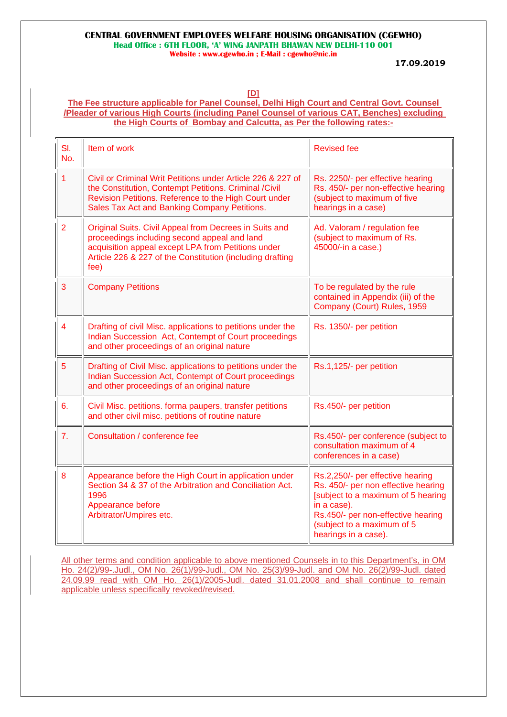**17.09.2019**

**[D]**

### **The Fee structure applicable for Panel Counsel, Delhi High Court and Central Govt. Counsel /Pleader of various High Courts (including Panel Counsel of various CAT, Benches) excluding the High Courts of Bombay and Calcutta, as Per the following rates:-**

| SI.<br>No.     | Item of work                                                                                                                                                                                                                      | <b>Revised fee</b>                                                                                                                                                                                                       |
|----------------|-----------------------------------------------------------------------------------------------------------------------------------------------------------------------------------------------------------------------------------|--------------------------------------------------------------------------------------------------------------------------------------------------------------------------------------------------------------------------|
| 1              | Civil or Criminal Writ Petitions under Article 226 & 227 of<br>the Constitution, Contempt Petitions. Criminal /Civil<br>Revision Petitions. Reference to the High Court under<br>Sales Tax Act and Banking Company Petitions.     | Rs. 2250/- per effective hearing<br>Rs. 450/- per non-effective hearing<br>(subject to maximum of five<br>hearings in a case)                                                                                            |
| $\overline{2}$ | Original Suits. Civil Appeal from Decrees in Suits and<br>proceedings including second appeal and land<br>acquisition appeal except LPA from Petitions under<br>Article 226 & 227 of the Constitution (including drafting<br>fee) | Ad. Valoram / regulation fee<br>(subject to maximum of Rs.<br>45000/-in a case.)                                                                                                                                         |
| 3              | <b>Company Petitions</b>                                                                                                                                                                                                          | To be regulated by the rule<br>contained in Appendix (iii) of the<br>Company (Court) Rules, 1959                                                                                                                         |
| 4              | Drafting of civil Misc. applications to petitions under the<br>Indian Succession Act, Contempt of Court proceedings<br>and other proceedings of an original nature                                                                | Rs. 1350/- per petition                                                                                                                                                                                                  |
| 5              | Drafting of Civil Misc. applications to petitions under the<br>Indian Succession Act, Contempt of Court proceedings<br>and other proceedings of an original nature                                                                | Rs.1,125/- per petition                                                                                                                                                                                                  |
| 6.             | Civil Misc. petitions. forma paupers, transfer petitions<br>and other civil misc. petitions of routine nature                                                                                                                     | Rs.450/- per petition                                                                                                                                                                                                    |
| 7.             | Consultation / conference fee                                                                                                                                                                                                     | Rs.450/- per conference (subject to<br>consultation maximum of 4<br>conferences in a case)                                                                                                                               |
| 8              | Appearance before the High Court in application under<br>Section 34 & 37 of the Arbitration and Conciliation Act.<br>1996<br>Appearance before<br>Arbitrator/Umpires etc.                                                         | Rs.2,250/- per effective hearing<br>Rs. 450/- per non effective hearing<br>[subject to a maximum of 5 hearing<br>in a case).<br>Rs.450/- per non-effective hearing<br>(subject to a maximum of 5<br>hearings in a case). |

All other terms and condition applicable to above mentioned Counsels in to this Department's, in OM Ho. 24(2)/99-.Judl., OM No. 26(1)/99-Judl., OM No. 25(3)/99-Judl. and OM No. 26(2)/99-Judl. dated 24.09.99 read with OM Ho. 26(1)/2005-Judl. dated 31.01.2008 and shall continue to remain applicable unless specifically revoked/revised.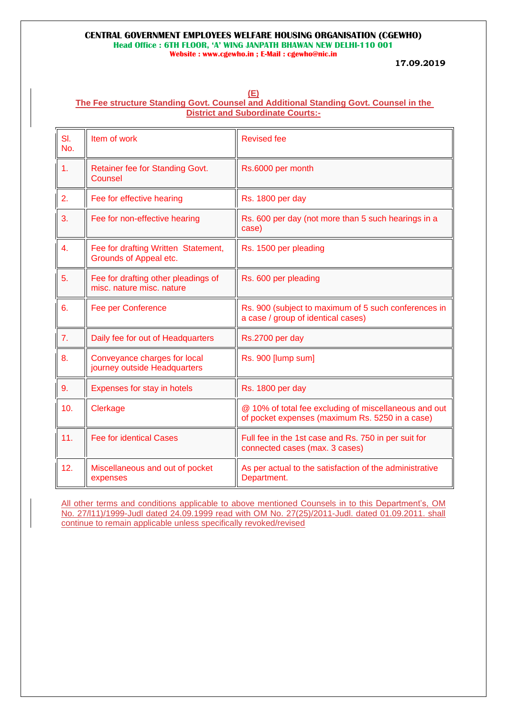#### **(E) The Fee structure Standing Govt. Counsel and Additional Standing Govt. Counsel in the District and Subordinate Courts:-**

| SI.<br>No.     | Item of work                                                     | <b>Revised fee</b>                                                                                       |
|----------------|------------------------------------------------------------------|----------------------------------------------------------------------------------------------------------|
| 1.             | Retainer fee for Standing Govt.<br>Counsel                       | Rs.6000 per month                                                                                        |
| 2.             | Fee for effective hearing                                        | Rs. 1800 per day                                                                                         |
| 3.             | Fee for non-effective hearing                                    | Rs. 600 per day (not more than 5 such hearings in a<br>case)                                             |
| $\mathbf{4}$ . | Fee for drafting Written Statement,<br>Grounds of Appeal etc.    | Rs. 1500 per pleading                                                                                    |
| 5.             | Fee for drafting other pleadings of<br>misc. nature misc. nature | Rs. 600 per pleading                                                                                     |
| 6.             | Fee per Conference                                               | Rs. 900 (subject to maximum of 5 such conferences in<br>a case / group of identical cases)               |
| 7.             | Daily fee for out of Headquarters                                | Rs.2700 per day                                                                                          |
| 8.             | Conveyance charges for local<br>journey outside Headquarters     | Rs. 900 [lump sum]                                                                                       |
| 9.             | Expenses for stay in hotels                                      | Rs. 1800 per day                                                                                         |
| 10.            | Clerkage                                                         | @ 10% of total fee excluding of miscellaneous and out<br>of pocket expenses (maximum Rs. 5250 in a case) |
| 11.            | <b>Fee for identical Cases</b>                                   | Full fee in the 1st case and Rs. 750 in per suit for<br>connected cases (max. 3 cases)                   |
| 12.            | Miscellaneous and out of pocket<br>expenses                      | As per actual to the satisfaction of the administrative<br>Department.                                   |

All other terms and conditions applicable to above mentioned Counsels in to this Department's, OM No. 27/l11)/1999-Judl dated 24.09.1999 read with OM No. 27(25)/2011-Judl. dated 01.09.2011. shall continue to remain applicable unless specifically revoked/revised